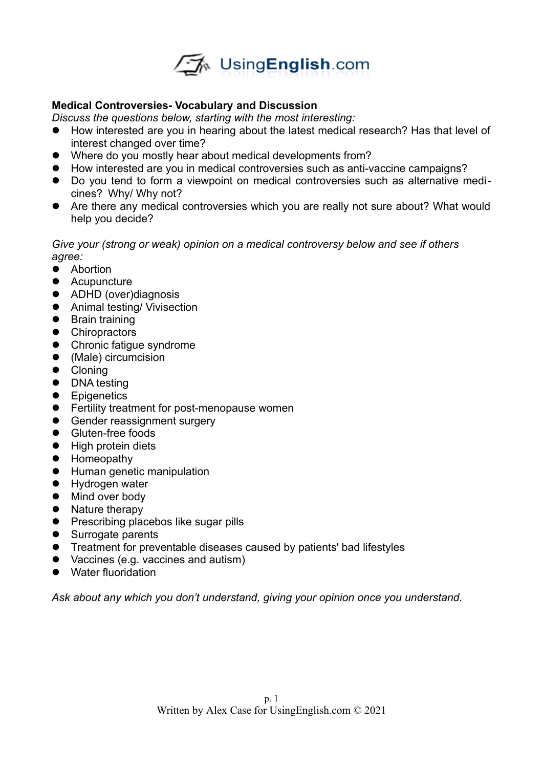

## **Medical Controversies- Vocabulary and Discussion**

*Discuss the questions below, starting with the most interesting:* 

- How interested are you in hearing about the latest medical research? Has that level of interest changed over time?
- Where do you mostly hear about medical developments from?
- How interested are you in medical controversies such as anti-vaccine campaigns?
- Do you tend to form a viewpoint on medical controversies such as alternative medicines? Why/ Why not?
- Are there any medical controversies which you are really not sure about? What would help you decide?

## *Give your (strong or weak) opinion on a medical controversy below and see if others agree:*

- **•** Abortion
- **•** Acupuncture
- ADHD (over)diagnosis
- **•** Animal testing/ Vivisection
- **•** Brain training
- **•** Chiropractors
- Chronic fatigue syndrome
- (Male) circumcision
- **•** Cloning
- DNA testing
- **•** Epigenetics
- **•** Fertility treatment for post-menopause women
- **Gender reassignment surgery**
- **•** Gluten-free foods
- High protein diets
- Homeopathy
- **•** Human genetic manipulation
- **•** Hydrogen water
- $\bullet$  Mind over body
- Nature therapy
- Prescribing placebos like sugar pills
- Surrogate parents
- Treatment for preventable diseases caused by patients' bad lifestyles
- Vaccines (e.g. vaccines and autism)
- Water fluoridation

*Ask about any which you don't understand, giving your opinion once you understand.*